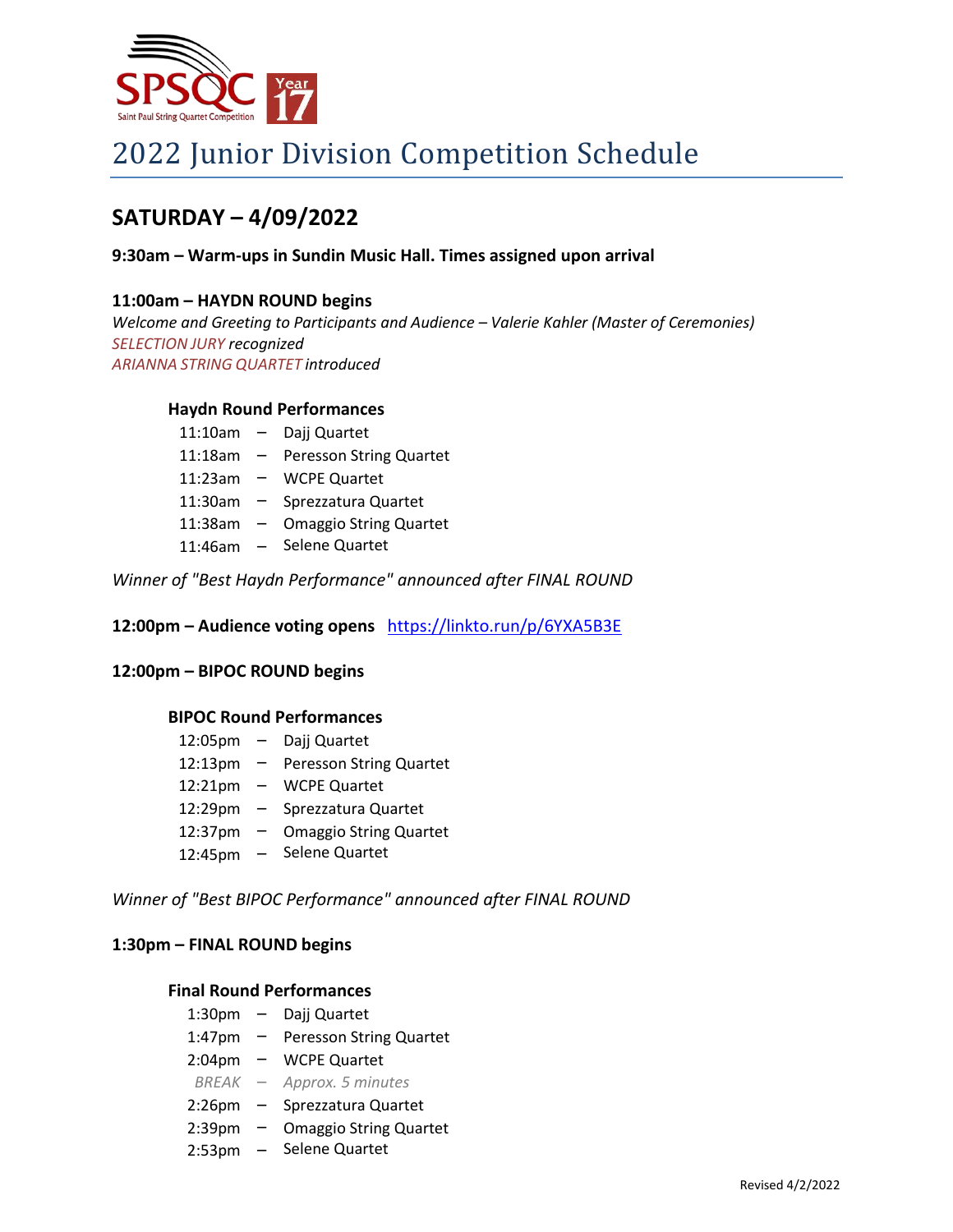

# 2022 Junior Division Competition Schedule

# **SATURDAY – 4/09/2022**

# **9:30am – Warm-ups in Sundin Music Hall. Times assigned upon arrival**

# **11:00am – HAYDN ROUND begins**

*Welcome and Greeting to Participants and Audience – Valerie Kahler (Master of Ceremonies) SELECTION JURY recognized ARIANNA STRING QUARTET introduced*

## **Haydn Round Performances**

| 11:10am   | $\overline{\phantom{0}}$ | Dajj Quartet                   |
|-----------|--------------------------|--------------------------------|
| 11:18am   | $\overline{\phantom{0}}$ | <b>Peresson String Quartet</b> |
| 11:23am – |                          | <b>WCPE Quartet</b>            |
| 11:30am   | $-$                      | Sprezzatura Quartet            |
| 11:38am   | $-$                      | <b>Omaggio String Quartet</b>  |
| 11:46am   | $-$                      | Selene Quartet                 |

*Winner of "Best Haydn Performance" announced after FINAL ROUND*

**12:00pm – Audience voting opens** <https://linkto.run/p/6YXA5B3E>

# **12:00pm – BIPOC ROUND begins**

# **BIPOC Round Performances**

| $12:05 \text{pm} -$ |        | Dajj Quartet                   |
|---------------------|--------|--------------------------------|
| 12:13pm             | $ \,$  | <b>Peresson String Quartet</b> |
| 12:21pm             | $\sim$ | <b>WCPE Quartet</b>            |
| 12:29pm             | $-$    | Sprezzatura Quartet            |
| 12:37pm             |        | <b>Omaggio String Quartet</b>  |
| 12:45pm             | $\sim$ | Selene Quartet                 |

*Winner of "Best BIPOC Performance" announced after FINAL ROUND*

## **1:30pm – FINAL ROUND begins**

## **Final Round Performances**

| 1:30 <sub>pm</sub> |     | Dajj Quartet                   |
|--------------------|-----|--------------------------------|
| 1:47pm             |     | <b>Peresson String Quartet</b> |
| 2:04pm             | $-$ | <b>WCPE Quartet</b>            |
| $BREAK -$          |     | Approx. 5 minutes              |
| $2:26$ pm          |     | Sprezzatura Quartet            |
| 2:39 <sub>pm</sub> |     | <b>Omaggio String Quartet</b>  |
| 2:53 <sub>pm</sub> |     | Selene Quartet                 |